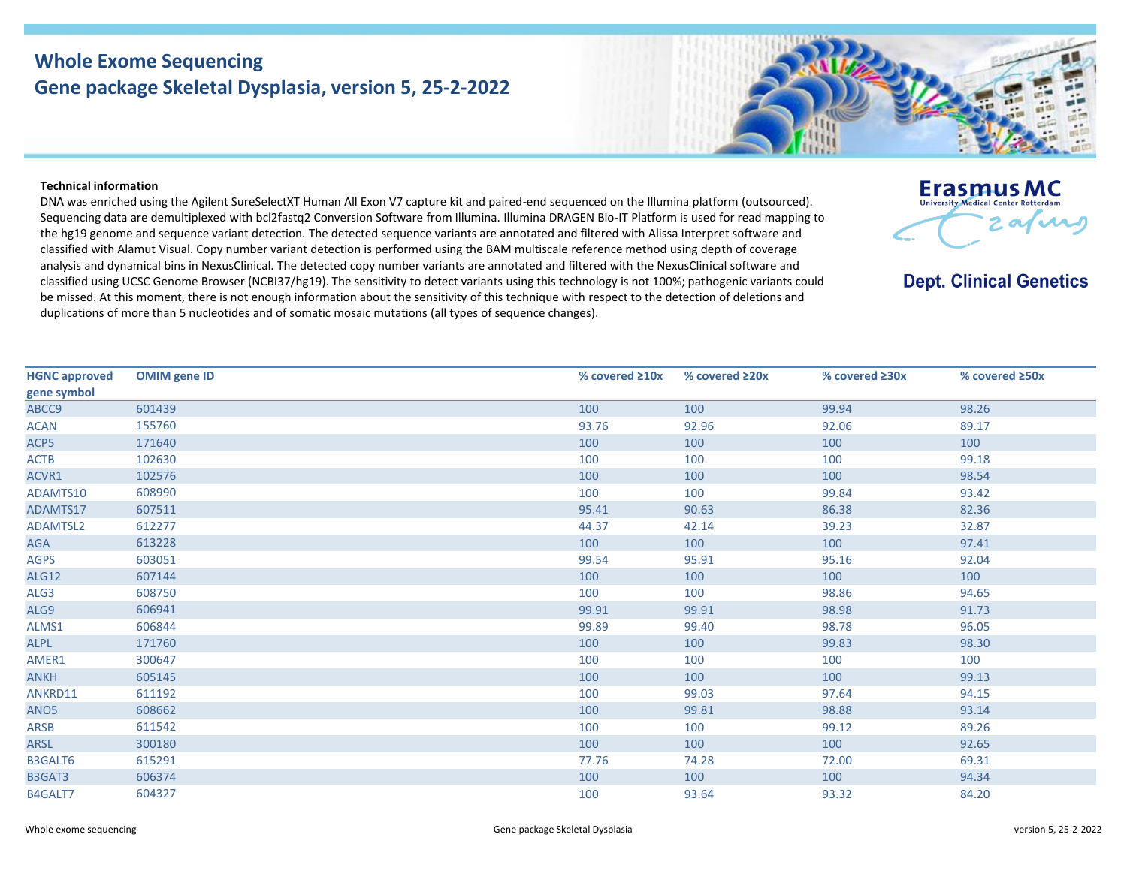## **Whole Exome Sequencing Gene package Skeletal Dysplasia, version 5, 25-2-2022**

## **Technical information**

DNA was enriched using the Agilent SureSelectXT Human All Exon V7 capture kit and paired-end sequenced on the Illumina platform (outsourced). Sequencing data are demultiplexed with bcl2fastq2 Conversion Software from Illumina. Illumina DRAGEN Bio-IT Platform is used for read mapping to the hg19 genome and sequence variant detection. The detected sequence variants are annotated and filtered with Alissa Interpret software and classified with Alamut Visual. Copy number variant detection is performed using the BAM multiscale reference method using depth of coverage analysis and dynamical bins in NexusClinical. The detected copy number variants are annotated and filtered with the NexusClinical software and classified using UCSC Genome Browser (NCBI37/hg19). The sensitivity to detect variants using this technology is not 100%; pathogenic variants could be missed. At this moment, there is not enough information about the sensitivity of this technique with respect to the detection of deletions and duplications of more than 5 nucleotides and of somatic mosaic mutations (all types of sequence changes).

| <b>HGNC approved</b> | <b>OMIM gene ID</b> | % covered $\geq 10x$ | % covered $\geq 20x$ | % covered $\geq 30x$ | % covered $\geq$ 50x |
|----------------------|---------------------|----------------------|----------------------|----------------------|----------------------|
| gene symbol          |                     |                      |                      |                      |                      |
| ABCC9                | 601439              | 100                  | 100                  | 99.94                | 98.26                |
| <b>ACAN</b>          | 155760              | 93.76                | 92.96                | 92.06                | 89.17                |
| ACP5                 | 171640              | 100                  | 100                  | 100                  | 100                  |
| <b>ACTB</b>          | 102630              | 100                  | 100                  | 100                  | 99.18                |
| ACVR1                | 102576              | 100                  | 100                  | 100                  | 98.54                |
| ADAMTS10             | 608990              | 100                  | 100                  | 99.84                | 93.42                |
| ADAMTS17             | 607511              | 95.41                | 90.63                | 86.38                | 82.36                |
| <b>ADAMTSL2</b>      | 612277              | 44.37                | 42.14                | 39.23                | 32.87                |
| AGA                  | 613228              | 100                  | 100                  | 100                  | 97.41                |
| <b>AGPS</b>          | 603051              | 99.54                | 95.91                | 95.16                | 92.04                |
| <b>ALG12</b>         | 607144              | 100                  | 100                  | 100                  | 100                  |
| ALG3                 | 608750              | 100                  | 100                  | 98.86                | 94.65                |
| ALG9                 | 606941              | 99.91                | 99.91                | 98.98                | 91.73                |
| ALMS1                | 606844              | 99.89                | 99.40                | 98.78                | 96.05                |
| <b>ALPL</b>          | 171760              | 100                  | 100                  | 99.83                | 98.30                |
| AMER1                | 300647              | 100                  | 100                  | 100                  | 100                  |
| <b>ANKH</b>          | 605145              | 100                  | 100                  | 100                  | 99.13                |
| ANKRD11              | 611192              | 100                  | 99.03                | 97.64                | 94.15                |
| ANO5                 | 608662              | 100                  | 99.81                | 98.88                | 93.14                |
| ARSB                 | 611542              | 100                  | 100                  | 99.12                | 89.26                |
| <b>ARSL</b>          | 300180              | 100                  | 100                  | 100                  | 92.65                |
| <b>B3GALT6</b>       | 615291              | 77.76                | 74.28                | 72.00                | 69.31                |
| B3GAT3               | 606374              | 100                  | 100                  | 100                  | 94.34                |
| B4GALT7              | 604327              | 100                  | 93.64                | 93.32                | 84.20                |



**Dept. Clinical Genetics**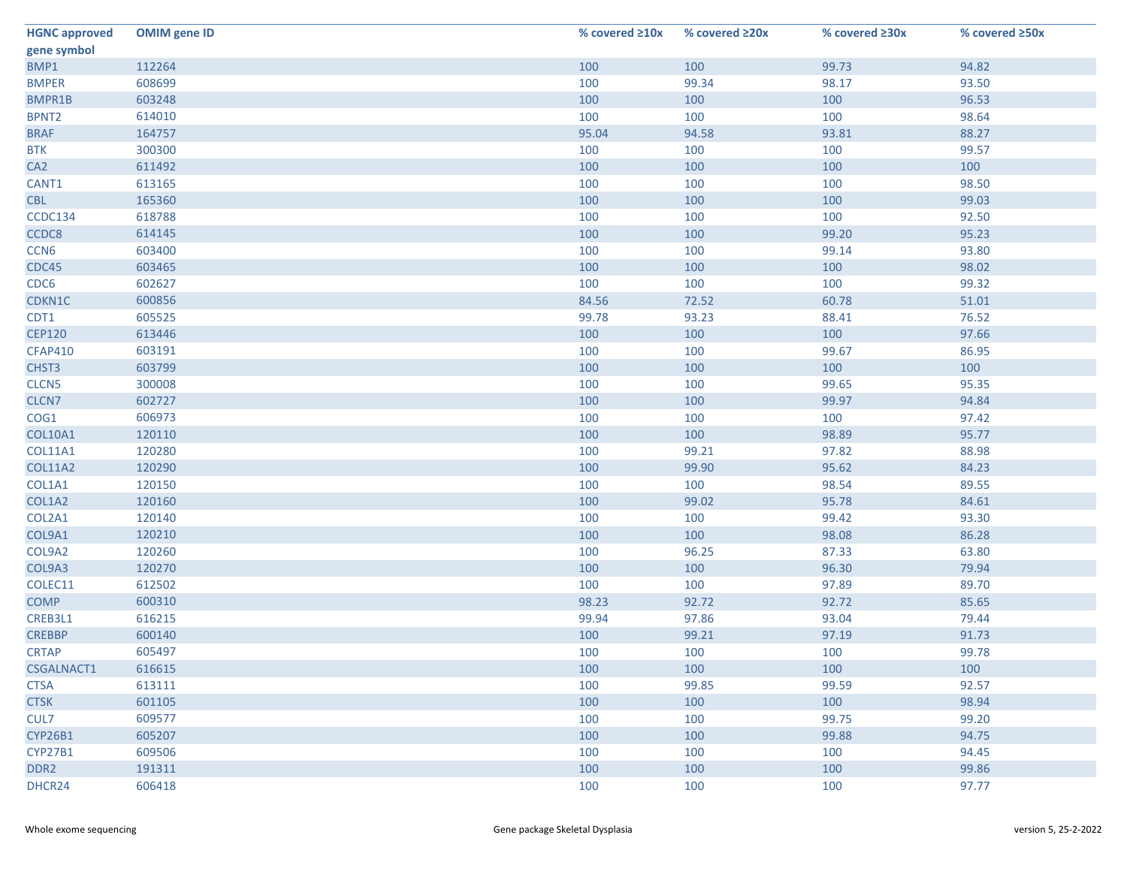| <b>HGNC approved</b> | <b>OMIM gene ID</b> | % covered $\geq 10x$ | % covered ≥20x | % covered ≥30x | % covered ≥50x |
|----------------------|---------------------|----------------------|----------------|----------------|----------------|
| gene symbol          |                     |                      |                |                |                |
| BMP1                 | 112264              | 100                  | 100            | 99.73          | 94.82          |
| <b>BMPER</b>         | 608699              | 100                  | 99.34          | 98.17          | 93.50          |
| BMPR1B               | 603248              | 100                  | 100            | 100            | 96.53          |
| BPNT <sub>2</sub>    | 614010              | 100                  | 100            | 100            | 98.64          |
| <b>BRAF</b>          | 164757              | 95.04                | 94.58          | 93.81          | 88.27          |
| <b>BTK</b>           | 300300              | 100                  | 100            | 100            | 99.57          |
| CA <sub>2</sub>      | 611492              | 100                  | 100            | 100            | 100            |
| CANT1                | 613165              | 100                  | 100            | 100            | 98.50          |
| <b>CBL</b>           | 165360              | 100                  | 100            | 100            | 99.03          |
| CCDC134              | 618788              | 100                  | 100            | 100            | 92.50          |
| CCDC8                | 614145              | 100                  | 100            | 99.20          | 95.23          |
| CCN <sub>6</sub>     | 603400              | 100                  | 100            | 99.14          | 93.80          |
| CDC45                | 603465              | 100                  | 100            | 100            | 98.02          |
| CDC6                 | 602627              | 100                  | 100            | 100            | 99.32          |
| CDKN1C               | 600856              | 84.56                | 72.52          | 60.78          | 51.01          |
| CDT1                 | 605525              | 99.78                | 93.23          | 88.41          | 76.52          |
| <b>CEP120</b>        | 613446              | 100                  | 100            | 100            | 97.66          |
| <b>CFAP410</b>       | 603191              | 100                  | 100            | 99.67          | 86.95          |
| CHST3                | 603799              | 100                  | 100            | 100            | 100            |
| CLCN5                | 300008              | 100                  | 100            | 99.65          | 95.35          |
| CLCN7                | 602727              | 100                  | 100            | 99.97          | 94.84          |
| COG1                 | 606973              | 100                  | 100            | 100            | 97.42          |
| COL10A1              | 120110              | 100                  | 100            | 98.89          | 95.77          |
| <b>COL11A1</b>       | 120280              | 100                  | 99.21          | 97.82          | 88.98          |
| <b>COL11A2</b>       | 120290              | 100                  | 99.90          | 95.62          | 84.23          |
| COL1A1               | 120150              | 100                  | 100            | 98.54          | 89.55          |
| COL1A2               | 120160              | 100                  | 99.02          | 95.78          | 84.61          |
| COL2A1               | 120140              | 100                  | 100            | 99.42          | 93.30          |
| COL9A1               | 120210              | 100                  | 100            | 98.08          | 86.28          |
| COL9A2               | 120260              | 100                  | 96.25          | 87.33          | 63.80          |
| COL9A3               | 120270              | 100                  | 100            | 96.30          | 79.94          |
| COLEC11              | 612502              | 100                  | 100            | 97.89          | 89.70          |
| <b>COMP</b>          | 600310              | 98.23                | 92.72          | 92.72          | 85.65          |
| CREB3L1              | 616215              | 99.94                | 97.86          | 93.04          | 79.44          |
| <b>CREBBP</b>        | 600140              | 100                  | 99.21          | 97.19          | 91.73          |
| <b>CRTAP</b>         | 605497              | 100                  | 100            | 100            | 99.78          |
| <b>CSGALNACT1</b>    | 616615              | 100                  | 100            | 100            | 100            |
| <b>CTSA</b>          | 613111              | 100                  | 99.85          | 99.59          | 92.57          |
| <b>CTSK</b>          | 601105              | 100                  | 100            | 100            | 98.94          |
| CUL7                 | 609577              | 100                  | 100            | 99.75          | 99.20          |
| CYP26B1              | 605207              | 100                  | 100            | 99.88          | 94.75          |
| CYP27B1              | 609506              | 100                  | 100            | 100            | 94.45          |
| DDR <sub>2</sub>     | 191311              | 100                  | 100            | 100            | 99.86          |
| DHCR24               | 606418              | 100                  | 100            | 100            | 97.77          |
|                      |                     |                      |                |                |                |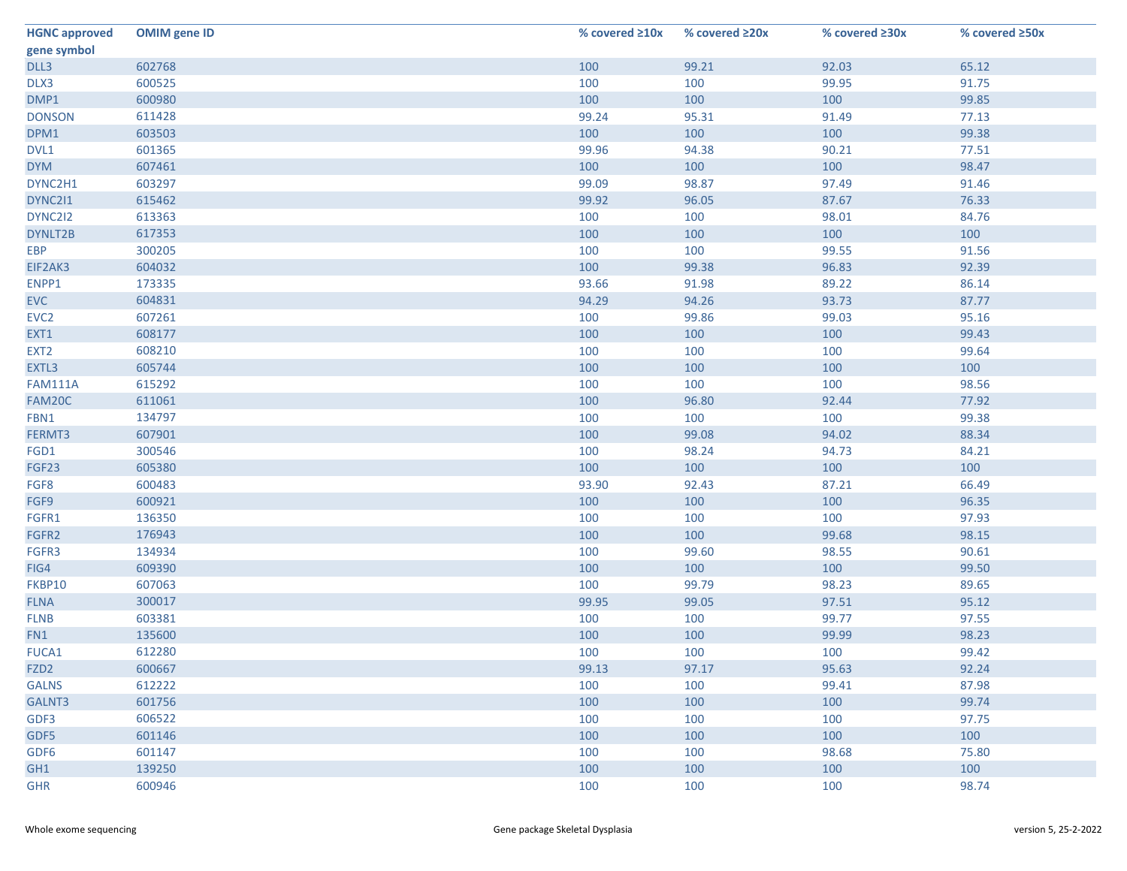| <b>HGNC approved</b> | <b>OMIM gene ID</b> | % covered $\geq 10x$ | % covered ≥20x | % covered ≥30x | % covered ≥50x |
|----------------------|---------------------|----------------------|----------------|----------------|----------------|
| gene symbol          |                     |                      |                |                |                |
| DLL3                 | 602768              | 100                  | 99.21          | 92.03          | 65.12          |
| DLX3                 | 600525              | 100                  | 100            | 99.95          | 91.75          |
| DMP1                 | 600980              | 100                  | 100            | 100            | 99.85          |
| <b>DONSON</b>        | 611428              | 99.24                | 95.31          | 91.49          | 77.13          |
| DPM1                 | 603503              | 100                  | 100            | 100            | 99.38          |
| DVL1                 | 601365              | 99.96                | 94.38          | 90.21          | 77.51          |
| <b>DYM</b>           | 607461              | 100                  | 100            | 100            | 98.47          |
| DYNC2H1              | 603297              | 99.09                | 98.87          | 97.49          | 91.46          |
| DYNC211              | 615462              | 99.92                | 96.05          | 87.67          | 76.33          |
| DYNC2I2              | 613363              | 100                  | 100            | 98.01          | 84.76          |
| DYNLT2B              | 617353              | 100                  | 100            | 100            | 100            |
| EBP                  | 300205              | 100                  | 100            | 99.55          | 91.56          |
| EIF2AK3              | 604032              | 100                  | 99.38          | 96.83          | 92.39          |
| ENPP1                | 173335              | 93.66                | 91.98          | 89.22          | 86.14          |
| <b>EVC</b>           | 604831              | 94.29                | 94.26          | 93.73          | 87.77          |
| EVC <sub>2</sub>     | 607261              | 100                  | 99.86          | 99.03          | 95.16          |
| EXT1                 | 608177              | 100                  | 100            | 100            | 99.43          |
| EXT <sub>2</sub>     | 608210              | 100                  | 100            | 100            | 99.64          |
| EXTL3                | 605744              | 100                  | 100            | 100            | 100            |
| <b>FAM111A</b>       | 615292              | 100                  | 100            | 100            | 98.56          |
| FAM20C               | 611061              | 100                  | 96.80          | 92.44          | 77.92          |
| FBN1                 | 134797              | 100                  | 100            | 100            | 99.38          |
| FERMT3               | 607901              | 100                  | 99.08          | 94.02          | 88.34          |
| FGD1                 | 300546              | 100                  | 98.24          | 94.73          | 84.21          |
| FGF23                | 605380              | 100                  | 100            | 100            | 100            |
| FGF8                 | 600483              | 93.90                | 92.43          | 87.21          | 66.49          |
| FGF9                 | 600921              | 100                  | 100            | 100            | 96.35          |
| FGFR1                | 136350              | 100                  | 100            | 100            | 97.93          |
| FGFR2                | 176943              | 100                  | 100            | 99.68          | 98.15          |
| FGFR3                | 134934              | 100                  | 99.60          | 98.55          | 90.61          |
| FIG4                 | 609390              | 100                  | 100            | 100            | 99.50          |
| FKBP10               | 607063              | 100                  | 99.79          | 98.23          | 89.65          |
| <b>FLNA</b>          | 300017              | 99.95                | 99.05          | 97.51          | 95.12          |
| <b>FLNB</b>          | 603381              | 100                  | 100            | 99.77          | 97.55          |
| FN1                  | 135600              | 100                  | 100            | 99.99          | 98.23          |
| FUCA1                | 612280              | 100                  | 100            | 100            | 99.42          |
| FZD <sub>2</sub>     | 600667              | 99.13                | 97.17          | 95.63          | 92.24          |
| <b>GALNS</b>         | 612222              | 100                  | 100            | 99.41          | 87.98          |
| GALNT3               | 601756              | 100                  | 100            | 100            | 99.74          |
| GDF3                 | 606522              | 100                  | 100            | 100            | 97.75          |
| GDF5                 | 601146              | 100                  | 100            | 100            | 100            |
| GDF6                 | 601147              | 100                  | 100            | 98.68          | 75.80          |
| GH1                  | 139250              | 100                  | 100            | 100            | 100            |
| <b>GHR</b>           | 600946              | 100                  | 100            | 100            | 98.74          |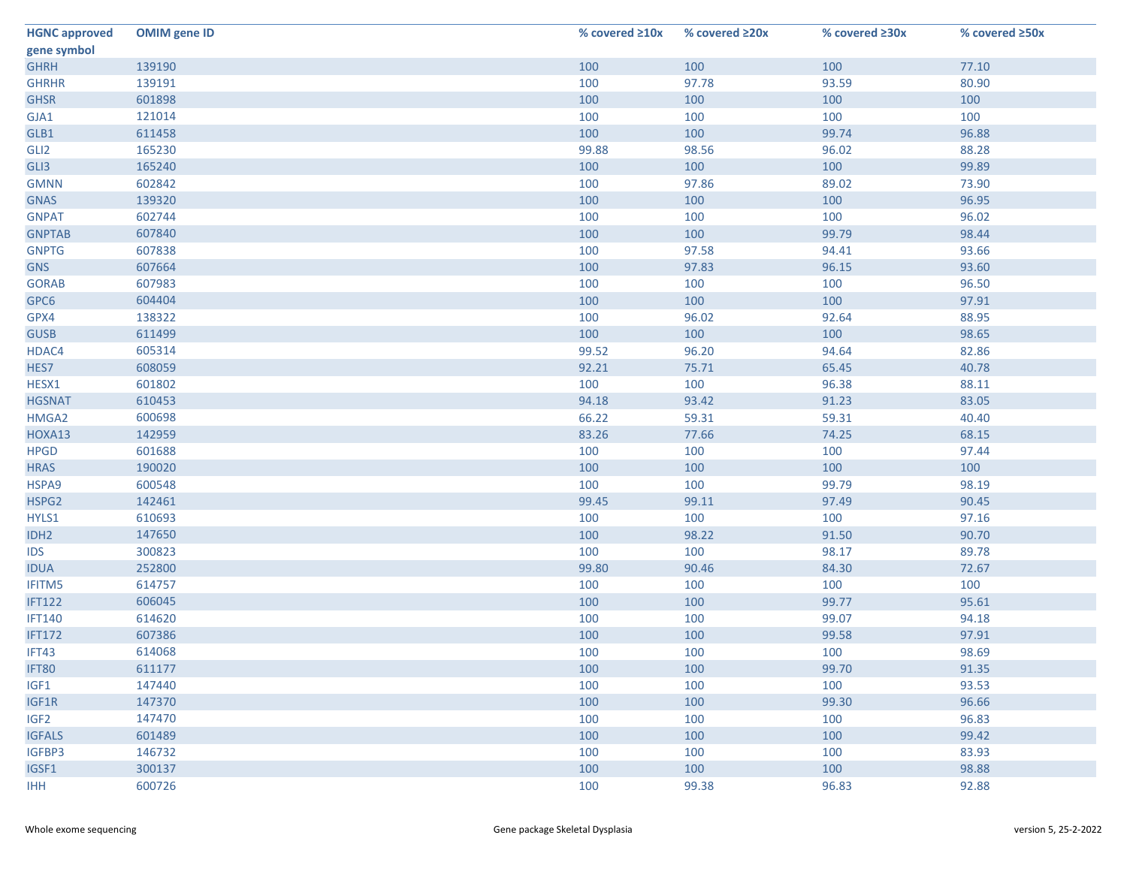| <b>HGNC approved</b> | <b>OMIM gene ID</b> | % covered ≥10x | % covered ≥20x | % covered ≥30x | % covered ≥50x |
|----------------------|---------------------|----------------|----------------|----------------|----------------|
| gene symbol          |                     |                |                |                |                |
| <b>GHRH</b>          | 139190              | 100            | 100            | 100            | 77.10          |
| <b>GHRHR</b>         | 139191              | 100            | 97.78          | 93.59          | 80.90          |
| <b>GHSR</b>          | 601898              | 100            | 100            | 100            | 100            |
| GJA1                 | 121014              | 100            | 100            | 100            | 100            |
| GLB1                 | 611458              | 100            | 100            | 99.74          | 96.88          |
| GLI <sub>2</sub>     | 165230              | 99.88          | 98.56          | 96.02          | 88.28          |
| GLI3                 | 165240              | 100            | 100            | 100            | 99.89          |
| <b>GMNN</b>          | 602842              | 100            | 97.86          | 89.02          | 73.90          |
| <b>GNAS</b>          | 139320              | 100            | 100            | 100            | 96.95          |
| <b>GNPAT</b>         | 602744              | 100            | 100            | 100            | 96.02          |
| <b>GNPTAB</b>        | 607840              | 100            | 100            | 99.79          | 98.44          |
| <b>GNPTG</b>         | 607838              | 100            | 97.58          | 94.41          | 93.66          |
| <b>GNS</b>           | 607664              | 100            | 97.83          | 96.15          | 93.60          |
| <b>GORAB</b>         | 607983              | 100            | 100            | 100            | 96.50          |
| GPC6                 | 604404              | 100            | 100            | 100            | 97.91          |
| GPX4                 | 138322              | 100            | 96.02          | 92.64          | 88.95          |
| <b>GUSB</b>          | 611499              | 100            | 100            | 100            | 98.65          |
| HDAC4                | 605314              | 99.52          | 96.20          | 94.64          | 82.86          |
| HES7                 | 608059              | 92.21          | 75.71          | 65.45          | 40.78          |
| HESX1                | 601802              | 100            | 100            | 96.38          | 88.11          |
| <b>HGSNAT</b>        | 610453              | 94.18          | 93.42          | 91.23          | 83.05          |
| HMGA2                | 600698              | 66.22          | 59.31          | 59.31          | 40.40          |
| HOXA13               | 142959              | 83.26          | 77.66          | 74.25          | 68.15          |
| <b>HPGD</b>          | 601688              | 100            | 100            | 100            | 97.44          |
| <b>HRAS</b>          | 190020              | 100            | 100            | 100            | 100            |
| HSPA9                | 600548              | 100            | 100            | 99.79          | 98.19          |
| HSPG2                | 142461              | 99.45          | 99.11          | 97.49          | 90.45          |
| HYLS1                | 610693              | 100            | 100            | 100            | 97.16          |
| IDH <sub>2</sub>     | 147650              | 100            | 98.22          | 91.50          | 90.70          |
| <b>IDS</b>           | 300823              | 100            | 100            | 98.17          | 89.78          |
| <b>IDUA</b>          | 252800              | 99.80          | 90.46          | 84.30          | 72.67          |
| IFITM5               | 614757              | 100            | 100            | 100            | 100            |
| <b>IFT122</b>        | 606045              | 100            | 100            | 99.77          | 95.61          |
| <b>IFT140</b>        | 614620              | 100            | 100            | 99.07          | 94.18          |
| <b>IFT172</b>        | 607386              | 100            | 100            | 99.58          | 97.91          |
| IFT43                | 614068              | 100            | 100            | 100            | 98.69          |
| IFT80                | 611177              | 100            | 100            | 99.70          | 91.35          |
| IGF1                 | 147440              | 100            | 100            | 100            | 93.53          |
| IGF1R                | 147370              | 100            | 100            | 99.30          | 96.66          |
| IGF <sub>2</sub>     | 147470              | 100            | 100            | 100            | 96.83          |
| <b>IGFALS</b>        | 601489              | 100            | 100            | 100            | 99.42          |
| IGFBP3               | 146732              | 100            | 100            | 100            | 83.93          |
| IGSF1                | 300137              | 100            | 100            | 100            | 98.88          |
| IHH                  | 600726              | 100            | 99.38          | 96.83          | 92.88          |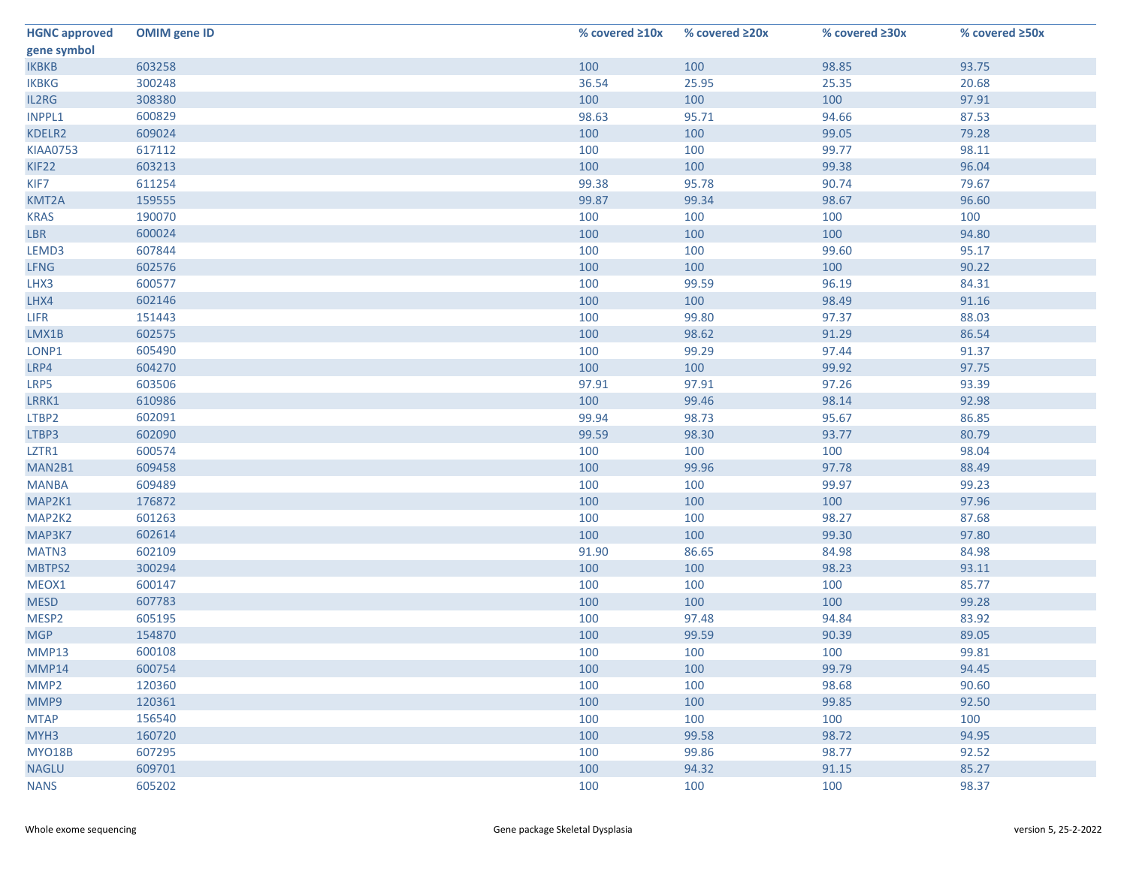| <b>HGNC approved</b> | <b>OMIM</b> gene ID | % covered $\geq 10x$ | % covered ≥20x | % covered ≥30x | % covered ≥50x |
|----------------------|---------------------|----------------------|----------------|----------------|----------------|
| gene symbol          |                     |                      |                |                |                |
| <b>IKBKB</b>         | 603258              | 100                  | 100            | 98.85          | 93.75          |
| <b>IKBKG</b>         | 300248              | 36.54                | 25.95          | 25.35          | 20.68          |
| IL2RG                | 308380              | 100                  | 100            | 100            | 97.91          |
| INPPL1               | 600829              | 98.63                | 95.71          | 94.66          | 87.53          |
| KDELR2               | 609024              | 100                  | 100            | 99.05          | 79.28          |
| <b>KIAA0753</b>      | 617112              | 100                  | 100            | 99.77          | 98.11          |
| KIF22                | 603213              | 100                  | 100            | 99.38          | 96.04          |
| KIF7                 | 611254              | 99.38                | 95.78          | 90.74          | 79.67          |
| KMT2A                | 159555              | 99.87                | 99.34          | 98.67          | 96.60          |
| <b>KRAS</b>          | 190070              | 100                  | 100            | 100            | 100            |
| <b>LBR</b>           | 600024              | 100                  | 100            | 100            | 94.80          |
| LEMD3                | 607844              | 100                  | 100            | 99.60          | 95.17          |
| <b>LFNG</b>          | 602576              | 100                  | 100            | 100            | 90.22          |
| LHX3                 | 600577              | 100                  | 99.59          | 96.19          | 84.31          |
| LHX4                 | 602146              | 100                  | 100            | 98.49          | 91.16          |
| <b>LIFR</b>          | 151443              | 100                  | 99.80          | 97.37          | 88.03          |
| LMX1B                | 602575              | 100                  | 98.62          | 91.29          | 86.54          |
| LONP1                | 605490              | 100                  | 99.29          | 97.44          | 91.37          |
| LRP4                 | 604270              | 100                  | 100            | 99.92          | 97.75          |
| LRP5                 | 603506              | 97.91                | 97.91          | 97.26          | 93.39          |
| LRRK1                | 610986              | 100                  | 99.46          | 98.14          | 92.98          |
| LTBP2                | 602091              | 99.94                | 98.73          | 95.67          | 86.85          |
| LTBP3                | 602090              | 99.59                | 98.30          | 93.77          | 80.79          |
| LZTR1                | 600574              | 100                  | 100            | 100            | 98.04          |
| MAN2B1               | 609458              | 100                  | 99.96          | 97.78          | 88.49          |
| <b>MANBA</b>         | 609489              | 100                  | 100            | 99.97          | 99.23          |
| MAP2K1               | 176872              | 100                  | 100            | 100            | 97.96          |
| MAP2K2               | 601263              | 100                  | 100            | 98.27          | 87.68          |
| MAP3K7               | 602614              | 100                  | 100            | 99.30          | 97.80          |
| MATN3                | 602109              | 91.90                | 86.65          | 84.98          | 84.98          |
| MBTPS2               | 300294              | 100                  | 100            | 98.23          | 93.11          |
| MEOX1                | 600147              | 100                  | 100            | 100            | 85.77          |
| <b>MESD</b>          | 607783              | 100                  | 100            | 100            | 99.28          |
| MESP2                | 605195              | 100                  | 97.48          | 94.84          | 83.92          |
| <b>MGP</b>           | 154870              | 100                  | 99.59          | 90.39          | 89.05          |
| MMP13                | 600108              | 100                  | 100            | 100            | 99.81          |
| MMP14                | 600754              | 100                  | 100            | 99.79          | 94.45          |
| MMP2                 | 120360              | 100                  | 100            | 98.68          | 90.60          |
| MMP9                 | 120361              | 100                  | 100            | 99.85          | 92.50          |
| <b>MTAP</b>          | 156540              | 100                  | 100            | 100            | 100            |
| MYH <sub>3</sub>     | 160720              | 100                  | 99.58          | 98.72          | 94.95          |
| <b>MYO18B</b>        | 607295              | 100                  | 99.86          | 98.77          | 92.52          |
| <b>NAGLU</b>         | 609701              | 100                  | 94.32          | 91.15          | 85.27          |
| <b>NANS</b>          | 605202              | 100                  | 100            | 100            | 98.37          |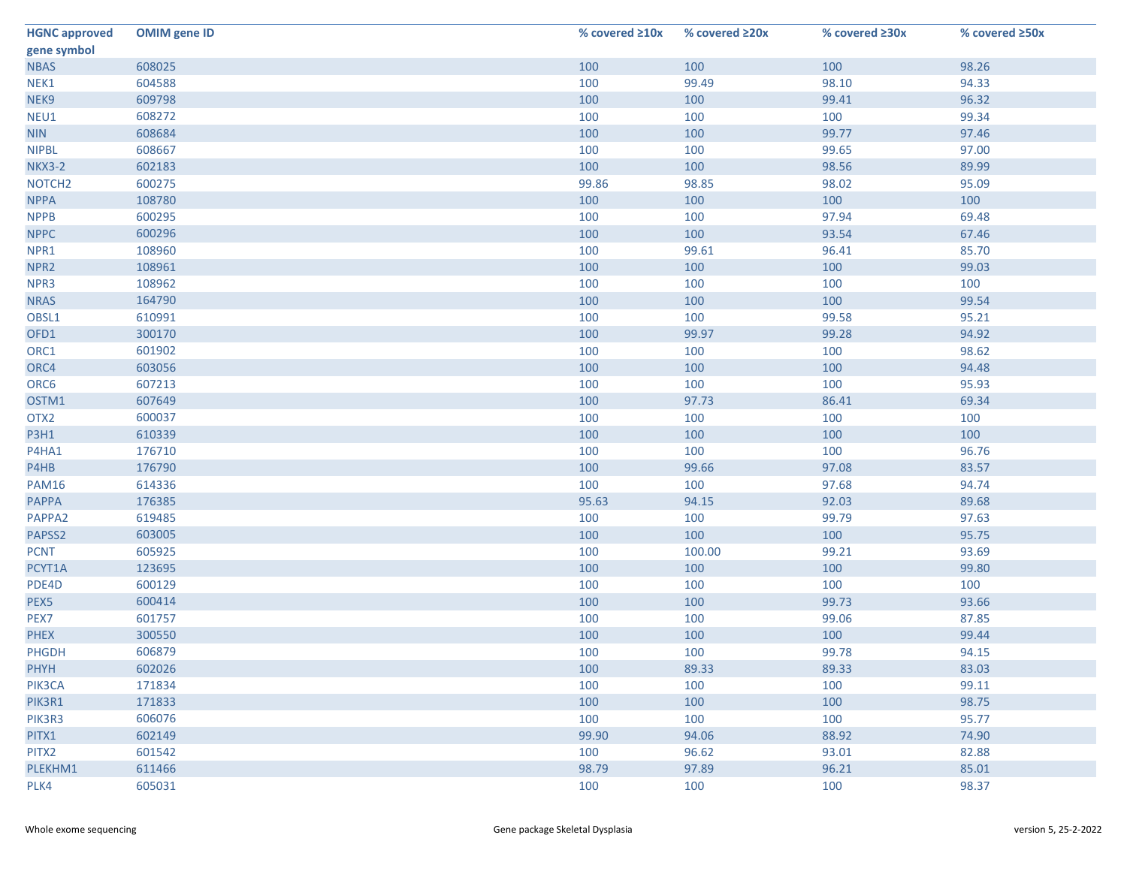| <b>HGNC approved</b> | <b>OMIM gene ID</b> | % covered ≥10x | % covered ≥20x | % covered ≥30x | % covered ≥50x |
|----------------------|---------------------|----------------|----------------|----------------|----------------|
| gene symbol          |                     |                |                |                |                |
| <b>NBAS</b>          | 608025              | 100            | 100            | 100            | 98.26          |
| NEK1                 | 604588              | 100            | 99.49          | 98.10          | 94.33          |
| NEK9                 | 609798              | 100            | 100            | 99.41          | 96.32          |
| NEU1                 | 608272              | 100            | 100            | 100            | 99.34          |
| <b>NIN</b>           | 608684              | 100            | 100            | 99.77          | 97.46          |
| <b>NIPBL</b>         | 608667              | 100            | 100            | 99.65          | 97.00          |
| <b>NKX3-2</b>        | 602183              | 100            | 100            | 98.56          | 89.99          |
| NOTCH <sub>2</sub>   | 600275              | 99.86          | 98.85          | 98.02          | 95.09          |
| <b>NPPA</b>          | 108780              | 100            | 100            | 100            | 100            |
| <b>NPPB</b>          | 600295              | 100            | 100            | 97.94          | 69.48          |
| <b>NPPC</b>          | 600296              | 100            | 100            | 93.54          | 67.46          |
| NPR1                 | 108960              | 100            | 99.61          | 96.41          | 85.70          |
| NPR <sub>2</sub>     | 108961              | 100            | 100            | 100            | 99.03          |
| NPR3                 | 108962              | 100            | 100            | 100            | 100            |
| <b>NRAS</b>          | 164790              | 100            | 100            | 100            | 99.54          |
| OBSL1                | 610991              | 100            | 100            | 99.58          | 95.21          |
| OFD1                 | 300170              | 100            | 99.97          | 99.28          | 94.92          |
| ORC1                 | 601902              | 100            | 100            | 100            | 98.62          |
| ORC4                 | 603056              | 100            | 100            | 100            | 94.48          |
| ORC6                 | 607213              | 100            | 100            | 100            | 95.93          |
| OSTM1                | 607649              | 100            | 97.73          | 86.41          | 69.34          |
| OTX <sub>2</sub>     | 600037              | 100            | 100            | 100            | 100            |
| <b>P3H1</b>          | 610339              | 100            | 100            | 100            | 100            |
| P4HA1                | 176710              | 100            | 100            | 100            | 96.76          |
| P4HB                 | 176790              | 100            | 99.66          | 97.08          | 83.57          |
| <b>PAM16</b>         | 614336              | 100            | 100            | 97.68          | 94.74          |
| <b>PAPPA</b>         | 176385              | 95.63          | 94.15          | 92.03          | 89.68          |
| PAPPA2               | 619485              | 100            | 100            | 99.79          | 97.63          |
| PAPSS2               | 603005              | 100            | 100            | 100            | 95.75          |
| <b>PCNT</b>          | 605925              | 100            | 100.00         | 99.21          | 93.69          |
| PCYT1A               | 123695              | 100            | 100            | 100            | 99.80          |
| PDE4D                | 600129              | 100            | 100            | 100            | 100            |
| PEX5                 | 600414              | 100            | 100            | 99.73          | 93.66          |
| PEX7                 | 601757              | 100            | 100            | 99.06          | 87.85          |
| <b>PHEX</b>          | 300550              | 100            | 100            | 100            | 99.44          |
| <b>PHGDH</b>         | 606879              | 100            | 100            | 99.78          | 94.15          |
| <b>PHYH</b>          | 602026              | 100            | 89.33          | 89.33          | 83.03          |
| PIK3CA               | 171834              | 100            | 100            | 100            | 99.11          |
| PIK3R1               | 171833              | 100            | 100            | 100            | 98.75          |
| PIK3R3               | 606076              | 100            | 100            | 100            | 95.77          |
| PITX1                | 602149              | 99.90          | 94.06          | 88.92          | 74.90          |
| PITX2                | 601542              | 100            | 96.62          | 93.01          | 82.88          |
| PLEKHM1              | 611466              | 98.79          | 97.89          | 96.21          | 85.01          |
| PLK4                 | 605031              | 100            | 100            | 100            | 98.37          |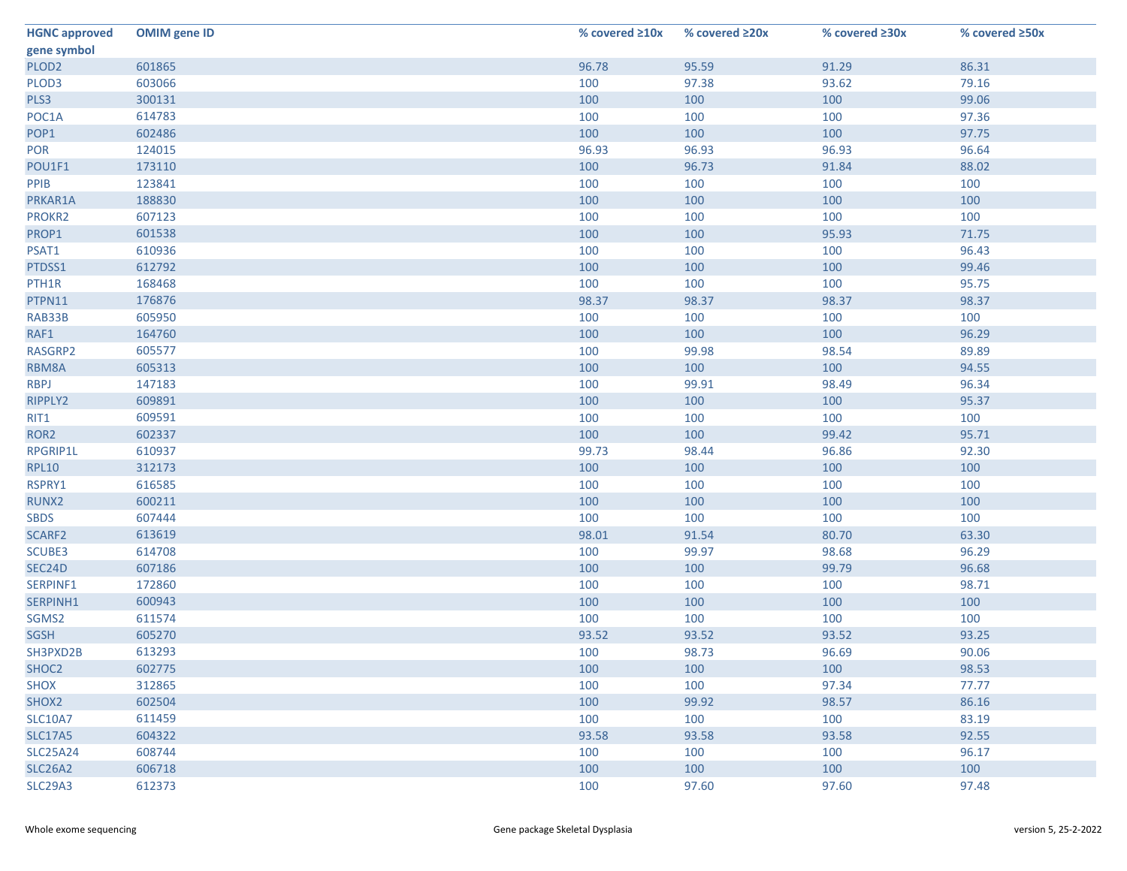| <b>HGNC approved</b> | <b>OMIM gene ID</b> | % covered $\geq 10x$ | % covered ≥20x | % covered ≥30x | % covered ≥50x |
|----------------------|---------------------|----------------------|----------------|----------------|----------------|
| gene symbol          |                     |                      |                |                |                |
| PLOD <sub>2</sub>    | 601865              | 96.78                | 95.59          | 91.29          | 86.31          |
| PLOD3                | 603066              | 100                  | 97.38          | 93.62          | 79.16          |
| PLS3                 | 300131              | 100                  | 100            | 100            | 99.06          |
| POC1A                | 614783              | 100                  | 100            | 100            | 97.36          |
| POP1                 | 602486              | 100                  | 100            | 100            | 97.75          |
| POR                  | 124015              | 96.93                | 96.93          | 96.93          | 96.64          |
| POU1F1               | 173110              | 100                  | 96.73          | 91.84          | 88.02          |
| PPIB                 | 123841              | 100                  | 100            | 100            | 100            |
| PRKAR1A              | 188830              | 100                  | 100            | 100            | 100            |
| PROKR2               | 607123              | 100                  | 100            | 100            | 100            |
| PROP1                | 601538              | 100                  | 100            | 95.93          | 71.75          |
| PSAT1                | 610936              | 100                  | 100            | 100            | 96.43          |
| PTDSS1               | 612792              | 100                  | 100            | 100            | 99.46          |
| PTH1R                | 168468              | 100                  | 100            | 100            | 95.75          |
| PTPN11               | 176876              | 98.37                | 98.37          | 98.37          | 98.37          |
| RAB33B               | 605950              | 100                  | 100            | 100            | 100            |
| RAF1                 | 164760              | 100                  | 100            | 100            | 96.29          |
| RASGRP2              | 605577              | 100                  | 99.98          | 98.54          | 89.89          |
| RBM8A                | 605313              | 100                  | 100            | 100            | 94.55          |
| <b>RBPJ</b>          | 147183              | 100                  | 99.91          | 98.49          | 96.34          |
| RIPPLY2              | 609891              | 100                  | 100            | 100            | 95.37          |
| RIT1                 | 609591              | 100                  | 100            | 100            | 100            |
| ROR <sub>2</sub>     | 602337              | 100                  | 100            | 99.42          | 95.71          |
| RPGRIP1L             | 610937              | 99.73                | 98.44          | 96.86          | 92.30          |
| <b>RPL10</b>         | 312173              | 100                  | 100            | 100            | 100            |
| RSPRY1               | 616585              | 100                  | 100            | 100            | 100            |
| RUNX2                | 600211              | 100                  | 100            | 100            | 100            |
| <b>SBDS</b>          | 607444              | 100                  | 100            | 100            | 100            |
| SCARF2               | 613619              | 98.01                | 91.54          | 80.70          | 63.30          |
| SCUBE3               | 614708              | 100                  | 99.97          | 98.68          | 96.29          |
| SEC24D               | 607186              | 100                  | 100            | 99.79          | 96.68          |
| SERPINF1             | 172860              | 100                  | 100            | 100            | 98.71          |
| SERPINH1             | 600943              | 100                  | 100            | 100            | 100            |
| SGMS2                | 611574              | 100                  | 100            | 100            | 100            |
| <b>SGSH</b>          | 605270              | 93.52                | 93.52          | 93.52          | 93.25          |
| SH3PXD2B             | 613293              | 100                  | 98.73          | 96.69          | 90.06          |
| SHOC <sub>2</sub>    | 602775              | 100                  | 100            | 100            | 98.53          |
| <b>SHOX</b>          | 312865              | 100                  | 100            | 97.34          | 77.77          |
| SHOX2                | 602504              | 100                  | 99.92          | 98.57          | 86.16          |
| <b>SLC10A7</b>       | 611459              | 100                  | 100            | 100            | 83.19          |
| <b>SLC17A5</b>       | 604322              | 93.58                | 93.58          | 93.58          | 92.55          |
| <b>SLC25A24</b>      | 608744              | 100                  | 100            | 100            | 96.17          |
| <b>SLC26A2</b>       | 606718              | 100                  | 100            | 100            | 100            |
| <b>SLC29A3</b>       | 612373              | 100                  | 97.60          | 97.60          | 97.48          |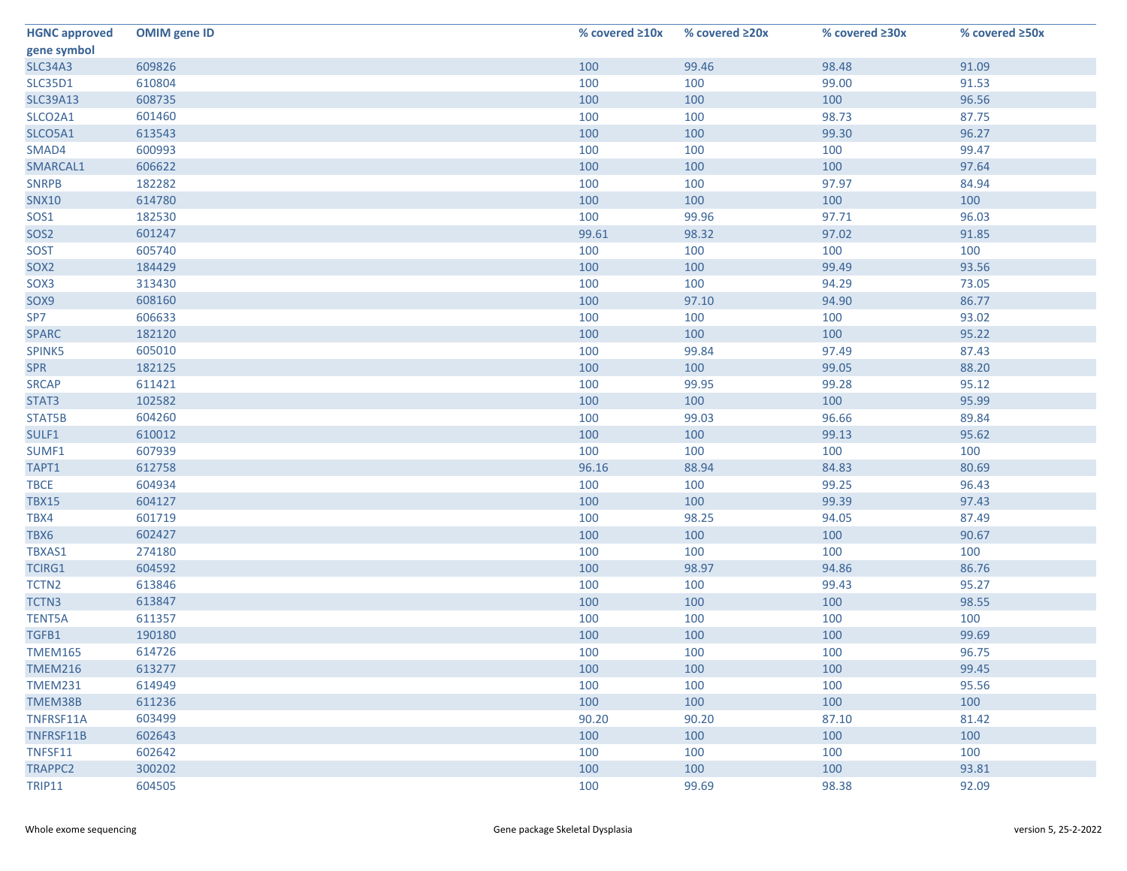| <b>HGNC approved</b> | <b>OMIM gene ID</b> | % covered $\geq 10x$ | % covered ≥20x | % covered ≥30x | % covered ≥50x |
|----------------------|---------------------|----------------------|----------------|----------------|----------------|
| gene symbol          |                     |                      |                |                |                |
| <b>SLC34A3</b>       | 609826              | 100                  | 99.46          | 98.48          | 91.09          |
| <b>SLC35D1</b>       | 610804              | 100                  | 100            | 99.00          | 91.53          |
| <b>SLC39A13</b>      | 608735              | 100                  | 100            | 100            | 96.56          |
| SLCO2A1              | 601460              | 100                  | 100            | 98.73          | 87.75          |
| SLCO5A1              | 613543              | 100                  | 100            | 99.30          | 96.27          |
| SMAD4                | 600993              | 100                  | 100            | 100            | 99.47          |
| SMARCAL1             | 606622              | 100                  | 100            | 100            | 97.64          |
| <b>SNRPB</b>         | 182282              | 100                  | 100            | 97.97          | 84.94          |
| <b>SNX10</b>         | 614780              | 100                  | 100            | 100            | 100            |
| SOS1                 | 182530              | 100                  | 99.96          | 97.71          | 96.03          |
| SOS <sub>2</sub>     | 601247              | 99.61                | 98.32          | 97.02          | 91.85          |
| <b>SOST</b>          | 605740              | 100                  | 100            | 100            | 100            |
| SOX <sub>2</sub>     | 184429              | 100                  | 100            | 99.49          | 93.56          |
| SOX3                 | 313430              | 100                  | 100            | 94.29          | 73.05          |
| SOX9                 | 608160              | 100                  | 97.10          | 94.90          | 86.77          |
| SP7                  | 606633              | 100                  | 100            | 100            | 93.02          |
| <b>SPARC</b>         | 182120              | 100                  | 100            | 100            | 95.22          |
| SPINK5               | 605010              | 100                  | 99.84          | 97.49          | 87.43          |
| <b>SPR</b>           | 182125              | 100                  | 100            | 99.05          | 88.20          |
| <b>SRCAP</b>         | 611421              | 100                  | 99.95          | 99.28          | 95.12          |
| STAT3                | 102582              | 100                  | 100            | 100            | 95.99          |
| STAT5B               | 604260              | 100                  | 99.03          | 96.66          | 89.84          |
| SULF1                | 610012              | 100                  | 100            | 99.13          | 95.62          |
| SUMF1                | 607939              | 100                  | 100            | 100            | 100            |
| TAPT1                | 612758              | 96.16                | 88.94          | 84.83          | 80.69          |
| <b>TBCE</b>          | 604934              | 100                  | 100            | 99.25          | 96.43          |
| <b>TBX15</b>         | 604127              | 100                  | 100            | 99.39          | 97.43          |
| TBX4                 | 601719              | 100                  | 98.25          | 94.05          | 87.49          |
| TBX6                 | 602427              | 100                  | 100            | 100            | 90.67          |
| TBXAS1               | 274180              | 100                  | 100            | 100            | 100            |
| TCIRG1               | 604592              | 100                  | 98.97          | 94.86          | 86.76          |
| TCTN <sub>2</sub>    | 613846              | 100                  | 100            | 99.43          | 95.27          |
| TCTN3                | 613847              | 100                  | 100            | 100            | 98.55          |
| <b>TENT5A</b>        | 611357              | 100                  | 100            | 100            | 100            |
| TGFB1                | 190180              | 100                  | 100            | 100            | 99.69          |
| <b>TMEM165</b>       | 614726              | 100                  | 100            | 100            | 96.75          |
| <b>TMEM216</b>       | 613277              | 100                  | 100            | 100            | 99.45          |
| <b>TMEM231</b>       | 614949              | 100                  | 100            | 100            | 95.56          |
| TMEM38B              | 611236              | 100                  | 100            | 100            | 100            |
| TNFRSF11A            | 603499              | 90.20                | 90.20          | 87.10          | 81.42          |
| TNFRSF11B            | 602643              | 100                  | 100            | 100            | 100            |
| TNFSF11              | 602642              | 100                  | 100            | 100            | 100            |
| TRAPPC2              | 300202              | 100                  | 100            | 100            | 93.81          |
| <b>TRIP11</b>        | 604505              | 100                  | 99.69          | 98.38          | 92.09          |